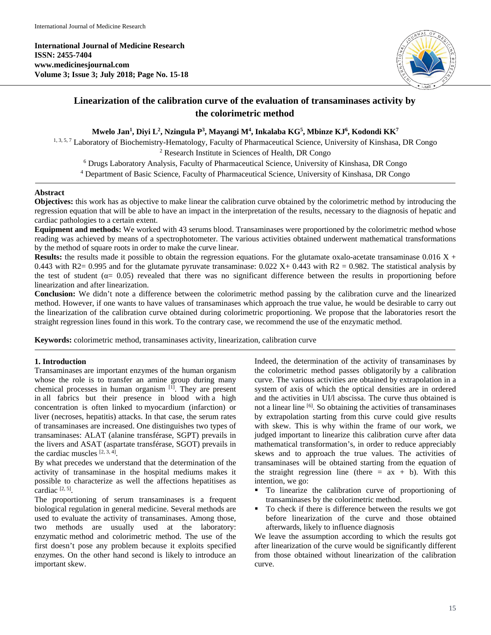**International Journal of Medicine Research ISSN: 2455-7404 www.medicinesjournal.com Volume 3; Issue 3; July 2018; Page No. 15-18**



# **Linearization of the calibration curve of the evaluation of transaminases activity by the colorimetric method**

# **Mwelo Jan1 , Diyi L2 , Nzingula P3 , Mayangi M4 , Inkalaba KG5 , Mbinze KJ6 , Kodondi KK7**

1, 3, 5, 7 Laboratory of Biochemistry-Hematology, Faculty of Pharmaceutical Science, University of Kinshasa, DR Congo

<sup>2</sup> Research Institute in Sciences of Health, DR Congo <sup>6</sup> Drugs Laboratory Analysis, Faculty of Pharmaceutical Science, University of Kinshasa, DR Congo

<sup>4</sup> Department of Basic Science, Faculty of Pharmaceutical Science, University of Kinshasa, DR Congo

#### **Abstract**

**Objectives:** this work has as objective to make linear the calibration curve obtained by the colorimetric method by introducing the regression equation that will be able to have an impact in the interpretation of the results, necessary to the diagnosis of hepatic and cardiac pathologies to a certain extent.

**Equipment and methods:** We worked with 43 serums blood. Transaminases were proportioned by the colorimetric method whose reading was achieved by means of a spectrophotometer. The various activities obtained underwent mathematical transformations by the method of square roots in order to make the curve linear.

**Results:** the results made it possible to obtain the regression equations. For the glutamate oxalo-acetate transaminase  $0.016 X +$ 0.443 with R2= 0.995 and for the glutamate pyruvate transaminase:  $0.022$  X+  $0.443$  with R2 = 0.982. The statistical analysis by the test of student ( $\alpha$ = 0.05) revealed that there was no significant difference between the results in proportioning before linearization and after linearization.

**Conclusion:** We didn't note a difference between the colorimetric method passing by the calibration curve and the linearized method. However, if one wants to have values of transaminases which approach the true value, he would be desirable to carry out the linearization of the calibration curve obtained during colorimetric proportioning. We propose that the laboratories resort the straight regression lines found in this work. To the contrary case, we recommend the use of the enzymatic method.

**Keywords:** colorimetric method, transaminases activity, linearization, calibration curve

# **1. Introduction**

Transaminases are important enzymes of the human organism whose the role is to transfer an amine group during many chemical processes in human organism  $[1]$ . They are present in all fabrics but their presence in blood with a high concentration is often linked to myocardium (infarction) or liver (necroses, hepatitis) attacks. In that case, the serum rates of transaminases are increased. One distinguishes two types of transaminases: ALAT (alanine transférase, SGPT) prevails in the livers and ASAT (aspartate transférase, SGOT) prevails in the cardiac muscles  $[2, 3, 4]$ .

By what precedes we understand that the determination of the activity of transaminase in the hospital mediums makes it possible to characterize as well the affections hepatitises as cardiac [2, 5].

The proportioning of serum transaminases is a frequent biological regulation in general medicine. Several methods are used to evaluate the activity of transaminases. Among those, two methods are usually used at the laboratory: enzymatic method and colorimetric method. The use of the first doesn't pose any problem because it exploits specified enzymes. On the other hand second is likely to introduce an important skew.

Indeed, the determination of the activity of transaminases by the colorimetric method passes obligatorily by a calibration curve. The various activities are obtained by extrapolation in a system of axis of which the optical densities are in ordered and the activities in UI/l abscissa. The curve thus obtained is not a linear line [6]. So obtaining the activities of transaminases by extrapolation starting from this curve could give results with skew. This is why within the frame of our work, we judged important to linearize this calibration curve after data mathematical transformation's, in order to reduce appreciably skews and to approach the true values. The activities of transaminases will be obtained starting from the equation of the straight regression line (there  $= ax + b$ ). With this intention, we go:

- To linearize the calibration curve of proportioning of transaminases by the colorimetric method.
- To check if there is difference between the results we got before linearization of the curve and those obtained afterwards, likely to influence diagnosis

We leave the assumption according to which the results got after linearization of the curve would be significantly different from those obtained without linearization of the calibration curve.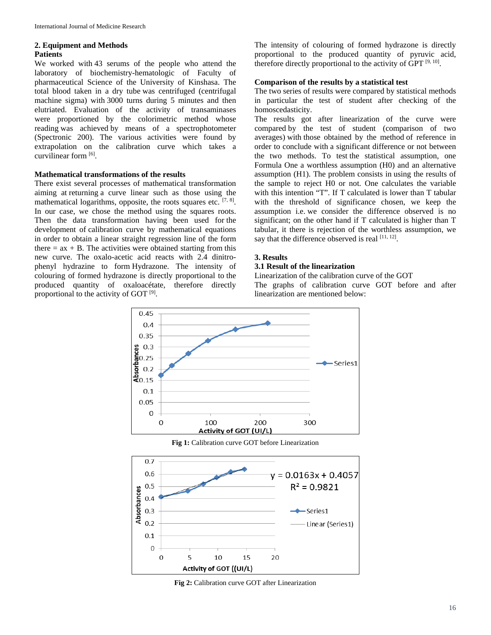#### **2. Equipment and Methods Patients**

We worked with 43 serums of the people who attend the laboratory of biochemistry-hematologic of Faculty of pharmaceutical Science of the University of Kinshasa. The total blood taken in a dry tube was centrifuged (centrifugal machine sigma) with 3000 turns during 5 minutes and then elutriated. Evaluation of the activity of transaminases were proportioned by the colorimetric method whose reading was achieved by means of a spectrophotometer (Spectronic 200). The various activities were found by extrapolation on the calibration curve which takes a curvilinear form [6].

## **Mathematical transformations of the results**

There exist several processes of mathematical transformation aiming at returning a curve linear such as those using the mathematical logarithms, opposite, the roots squares etc. [7, 8]. In our case, we chose the method using the squares roots. Then the data transformation having been used for the development of calibration curve by mathematical equations in order to obtain a linear straight regression line of the form there  $=$  ax  $+$  B. The activities were obtained starting from this new curve. The oxalo-acetic acid reacts with 2.4 dinitrophenyl hydrazine to form Hydrazone. The intensity of colouring of formed hydrazone is directly proportional to the produced quantity of oxaloacétate, therefore directly proportional to the activity of GOT  $[9]$ .

The intensity of colouring of formed hydrazone is directly proportional to the produced quantity of pyruvic acid, therefore directly proportional to the activity of GPT  $[9, 10]$ .

#### **Comparison of the results by a statistical test**

The two series of results were compared by statistical methods in particular the test of student after checking of the homoscedasticity.

The results got after linearization of the curve were compared by the test of student (comparison of two averages) with those obtained by the method of reference in order to conclude with a significant difference or not between the two methods. To test the statistical assumption, one Formula One a worthless assumption (H0) and an alternative assumption (H1). The problem consists in using the results of the sample to reject H0 or not. One calculates the variable with this intention "T". If T calculated is lower than T tabular with the threshold of significance chosen, we keep the assumption i.e. we consider the difference observed is no significant; on the other hand if T calculated is higher than T tabular, it there is rejection of the worthless assumption, we say that the difference observed is real  $[11, 12]$ .

#### **3. Results**

#### **3.1 Result of the linearization**

Linearization of the calibration curve of the GOT

The graphs of calibration curve GOT before and after linearization are mentioned below:



**Fig 1:** Calibration curve GOT before Linearization



**Fig 2:** Calibration curve GOT after Linearization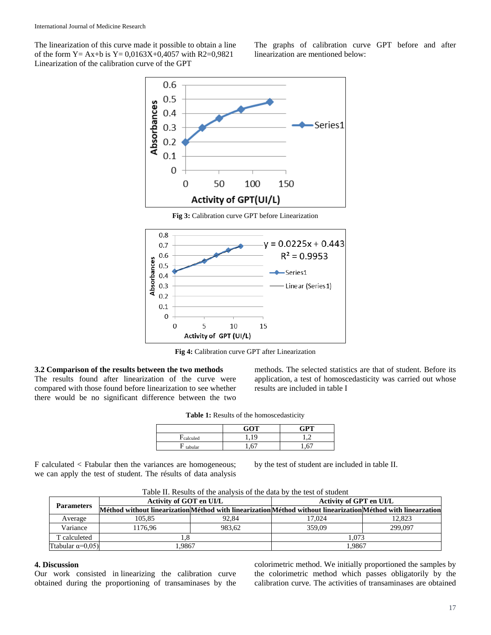The linearization of this curve made it possible to obtain a line of the form Y = Ax+b is Y =  $0.0163X+0.4057$  with R2=0.9821 Linearization of the calibration curve of the GPT

The graphs of calibration curve GPT before and after linearization are mentioned below:





**Fig 4:** Calibration curve GPT after Linearization

## **3.2 Comparison of the results between the two methods**

The results found after linearization of the curve were compared with those found before linearization to see whether there would be no significant difference between the two

methods. The selected statistics are that of student. Before its application, a test of homoscedasticity was carried out whose results are included in table I

|                        | GOT        | GPT |
|------------------------|------------|-----|
| dcalculed <sup>-</sup> |            |     |
| tabular                | $\epsilon$ | "   |

F calculated < Ftabular then the variances are homogeneous; we can apply the test of student. The résults of data analysis by the test of student are included in table II.

| <b>Parameters</b>          | Taon II. Results of the allarysis of the data by the test of student<br>Activity of GOT en UI/L              |        | Activity of GPT en UI/L |         |
|----------------------------|--------------------------------------------------------------------------------------------------------------|--------|-------------------------|---------|
|                            | Méthod without linearization Méthod with linearization Méthod without linearization Méthod with linearzation |        |                         |         |
| Average                    | 105.85                                                                                                       | 92.84  | 17.024                  | 12.823  |
| Variance                   | 1176.96                                                                                                      | 983.62 | 359.09                  | 299,097 |
| T calculeted               |                                                                                                              |        | 1.073                   |         |
| Ttabular $\alpha = 0.05$ ) | .9867                                                                                                        |        | 1.9867                  |         |

Table II. Results of the analysis of the data by the test of student

# **4. Discussion**

Our work consisted in linearizing the calibration curve obtained during the proportioning of transaminases by the colorimetric method. We initially proportioned the samples by the colorimetric method which passes obligatorily by the calibration curve. The activities of transaminases are obtained